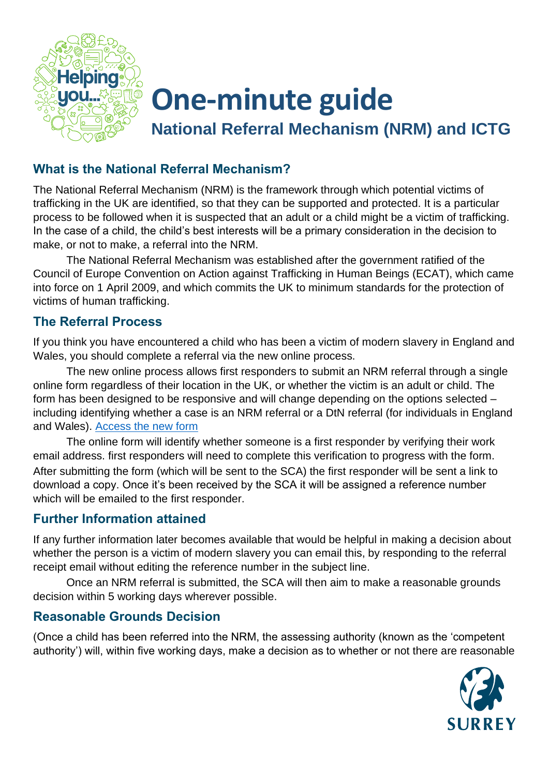

# **One-minute guide**

**National Referral Mechanism (NRM) and ICTG**

## **What is the National Referral Mechanism?**

The National Referral Mechanism (NRM) is the framework through which potential victims of trafficking in the UK are identified, so that they can be supported and protected. It is a particular process to be followed when it is suspected that an adult or a child might be a victim of trafficking. In the case of a child, the child's best interests will be a primary consideration in the decision to make, or not to make, a referral into the NRM.

The National Referral Mechanism was established after the government ratified of the Council of Europe Convention on Action against Trafficking in Human Beings (ECAT), which came into force on 1 April 2009, and which commits the UK to minimum standards for the protection of victims of human trafficking.

### **The Referral Process**

If you think you have encountered a child who has been a victim of modern slavery in England and Wales, you should complete a referral via the new online process.

The new online process allows first responders to submit an NRM referral through a single online form regardless of their location in the UK, or whether the victim is an adult or child. The form has been designed to be responsive and will change depending on the options selected – including identifying whether a case is an NRM referral or a DtN referral (for individuals in England and Wales). [Access the new form](https://www.modernslavery.gov.uk/start?hof-cookie-check)

The online form will identify whether someone is a first responder by verifying their work email address. first responders will need to complete this verification to progress with the form. After submitting the form (which will be sent to the SCA) the first responder will be sent a link to download a copy. Once it's been received by the SCA it will be assigned a reference number which will be emailed to the first responder.

### **Further Information attained**

If any further information later becomes available that would be helpful in making a decision about whether the person is a victim of modern slavery you can email this, by responding to the referral receipt email without editing the reference number in the subject line.

Once an NRM referral is submitted, the SCA will then aim to make a reasonable grounds decision within 5 working days wherever possible.

## **Reasonable Grounds Decision**

(Once a child has been referred into the NRM, the assessing authority (known as the 'competent authority') will, within five working days, make a decision as to whether or not there are reasonable